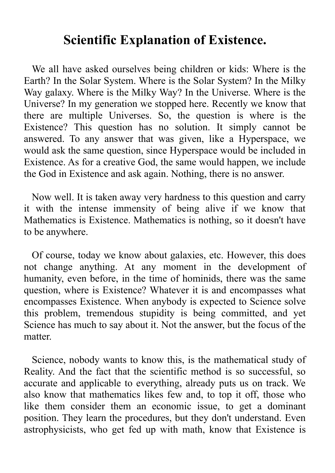## **Scientific Explanation of Existence.**

We all have asked ourselves being children or kids: Where is the Earth? In the Solar System. Where is the Solar System? In the Milky Way galaxy. Where is the Milky Way? In the Universe. Where is the Universe? In my generation we stopped here. Recently we know that there are multiple Universes. So, the question is where is the Existence? This question has no solution. It simply cannot be answered. To any answer that was given, like a Hyperspace, we would ask the same question, since Hyperspace would be included in Existence. As for a creative God, the same would happen, we include the God in Existence and ask again. Nothing, there is no answer.

Now well. It is taken away very hardness to this question and carry it with the intense immensity of being alive if we know that Mathematics is Existence. Mathematics is nothing, so it doesn't have to be anywhere.

Of course, today we know about galaxies, etc. However, this does not change anything. At any moment in the development of humanity, even before, in the time of hominids, there was the same question, where is Existence? Whatever it is and encompasses what encompasses Existence. When anybody is expected to Science solve this problem, tremendous stupidity is being committed, and yet Science has much to say about it. Not the answer, but the focus of the matter.

Science, nobody wants to know this, is the mathematical study of Reality. And the fact that the scientific method is so successful, so accurate and applicable to everything, already puts us on track. We also know that mathematics likes few and, to top it off, those who like them consider them an economic issue, to get a dominant position. They learn the procedures, but they don't understand. Even astrophysicists, who get fed up with math, know that Existence is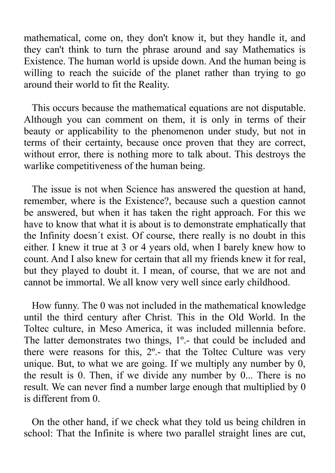mathematical, come on, they don't know it, but they handle it, and they can't think to turn the phrase around and say Mathematics is Existence. The human world is upside down. And the human being is willing to reach the suicide of the planet rather than trying to go around their world to fit the Reality.

This occurs because the mathematical equations are not disputable. Although you can comment on them, it is only in terms of their beauty or applicability to the phenomenon under study, but not in terms of their certainty, because once proven that they are correct, without error, there is nothing more to talk about. This destroys the warlike competitiveness of the human being.

The issue is not when Science has answered the question at hand, remember, where is the Existence?, because such a question cannot be answered, but when it has taken the right approach. For this we have to know that what it is about is to demonstrate emphatically that the Infinity doesn´t exist. Of course, there really is no doubt in this either. I knew it true at 3 or 4 years old, when I barely knew how to count. And I also knew for certain that all my friends knew it for real, but they played to doubt it. I mean, of course, that we are not and cannot be immortal. We all know very well since early childhood.

How funny. The 0 was not included in the mathematical knowledge until the third century after Christ. This in the Old World. In the Toltec culture, in Meso America, it was included millennia before. The latter demonstrates two things, 1<sup>o</sup>. that could be included and there were reasons for this, 2º.- that the Toltec Culture was very unique. But, to what we are going. If we multiply any number by 0, the result is 0. Then, if we divide any number by 0... There is no result. We can never find a number large enough that multiplied by 0 is different from 0.

On the other hand, if we check what they told us being children in school: That the Infinite is where two parallel straight lines are cut,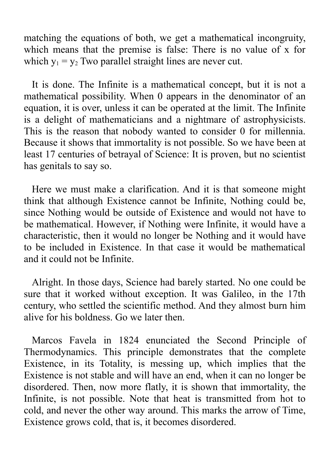matching the equations of both, we get a mathematical incongruity, which means that the premise is false: There is no value of x for which  $y_1 = y_2$  Two parallel straight lines are never cut.

It is done. The Infinite is a mathematical concept, but it is not a mathematical possibility. When 0 appears in the denominator of an equation, it is over, unless it can be operated at the limit. The Infinite is a delight of mathematicians and a nightmare of astrophysicists. This is the reason that nobody wanted to consider 0 for millennia. Because it shows that immortality is not possible. So we have been at least 17 centuries of betrayal of Science: It is proven, but no scientist has genitals to say so.

Here we must make a clarification. And it is that someone might think that although Existence cannot be Infinite, Nothing could be, since Nothing would be outside of Existence and would not have to be mathematical. However, if Nothing were Infinite, it would have a characteristic, then it would no longer be Nothing and it would have to be included in Existence. In that case it would be mathematical and it could not be Infinite.

Alright. In those days, Science had barely started. No one could be sure that it worked without exception. It was Galileo, in the 17th century, who settled the scientific method. And they almost burn him alive for his boldness. Go we later then.

Marcos Favela in 1824 enunciated the Second Principle of Thermodynamics. This principle demonstrates that the complete Existence, in its Totality, is messing up, which implies that the Existence is not stable and will have an end, when it can no longer be disordered. Then, now more flatly, it is shown that immortality, the Infinite, is not possible. Note that heat is transmitted from hot to cold, and never the other way around. This marks the arrow of Time, Existence grows cold, that is, it becomes disordered.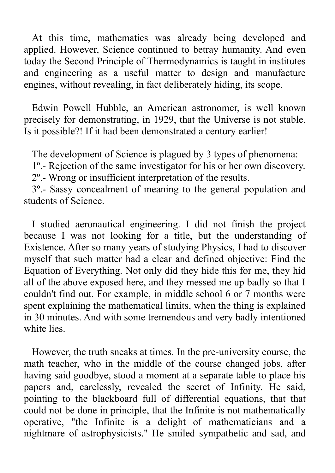At this time, mathematics was already being developed and applied. However, Science continued to betray humanity. And even today the Second Principle of Thermodynamics is taught in institutes and engineering as a useful matter to design and manufacture engines, without revealing, in fact deliberately hiding, its scope.

Edwin Powell Hubble, an American astronomer, is well known precisely for demonstrating, in 1929, that the Universe is not stable. Is it possible?! If it had been demonstrated a century earlier!

The development of Science is plagued by 3 types of phenomena:

1º.- Rejection of the same investigator for his or her own discovery. 2º.- Wrong or insufficient interpretation of the results.

3º.- Sassy concealment of meaning to the general population and students of Science.

I studied aeronautical engineering. I did not finish the project because I was not looking for a title, but the understanding of Existence. After so many years of studying Physics, I had to discover myself that such matter had a clear and defined objective: Find the Equation of Everything. Not only did they hide this for me, they hid all of the above exposed here, and they messed me up badly so that I couldn't find out. For example, in middle school 6 or 7 months were spent explaining the mathematical limits, when the thing is explained in 30 minutes. And with some tremendous and very badly intentioned white lies.

However, the truth sneaks at times. In the pre-university course, the math teacher, who in the middle of the course changed jobs, after having said goodbye, stood a moment at a separate table to place his papers and, carelessly, revealed the secret of Infinity. He said, pointing to the blackboard full of differential equations, that that could not be done in principle, that the Infinite is not mathematically operative, "the Infinite is a delight of mathematicians and a nightmare of astrophysicists." He smiled sympathetic and sad, and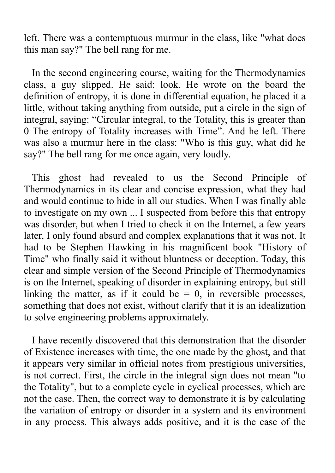left. There was a contemptuous murmur in the class, like "what does this man say?" The bell rang for me.

In the second engineering course, waiting for the Thermodynamics class, a guy slipped. He said: look. He wrote on the board the definition of entropy, it is done in differential equation, he placed it a little, without taking anything from outside, put a circle in the sign of integral, saying: "Circular integral, to the Totality, this is greater than 0 The entropy of Totality increases with Time". And he left. There was also a murmur here in the class: "Who is this guy, what did he say?" The bell rang for me once again, very loudly.

This ghost had revealed to us the Second Principle of Thermodynamics in its clear and concise expression, what they had and would continue to hide in all our studies. When I was finally able to investigate on my own ... I suspected from before this that entropy was disorder, but when I tried to check it on the Internet, a few years later, I only found absurd and complex explanations that it was not. It had to be Stephen Hawking in his magnificent book "History of Time" who finally said it without bluntness or deception. Today, this clear and simple version of the Second Principle of Thermodynamics is on the Internet, speaking of disorder in explaining entropy, but still linking the matter, as if it could be  $= 0$ , in reversible processes, something that does not exist, without clarify that it is an idealization to solve engineering problems approximately.

I have recently discovered that this demonstration that the disorder of Existence increases with time, the one made by the ghost, and that it appears very similar in official notes from prestigious universities, is not correct. First, the circle in the integral sign does not mean "to the Totality", but to a complete cycle in cyclical processes, which are not the case. Then, the correct way to demonstrate it is by calculating the variation of entropy or disorder in a system and its environment in any process. This always adds positive, and it is the case of the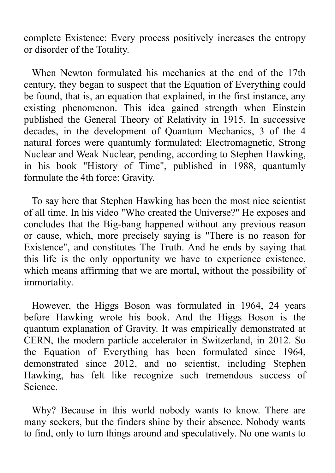complete Existence: Every process positively increases the entropy or disorder of the Totality.

When Newton formulated his mechanics at the end of the 17th century, they began to suspect that the Equation of Everything could be found, that is, an equation that explained, in the first instance, any existing phenomenon. This idea gained strength when Einstein published the General Theory of Relativity in 1915. In successive decades, in the development of Quantum Mechanics, 3 of the 4 natural forces were quantumly formulated: Electromagnetic, Strong Nuclear and Weak Nuclear, pending, according to Stephen Hawking, in his book "History of Time", published in 1988, quantumly formulate the 4th force: Gravity.

To say here that Stephen Hawking has been the most nice scientist of all time. In his video "Who created the Universe?" He exposes and concludes that the Big-bang happened without any previous reason or cause, which, more precisely saying is "There is no reason for Existence", and constitutes The Truth. And he ends by saying that this life is the only opportunity we have to experience existence, which means affirming that we are mortal, without the possibility of immortality.

However, the Higgs Boson was formulated in 1964, 24 years before Hawking wrote his book. And the Higgs Boson is the quantum explanation of Gravity. It was empirically demonstrated at CERN, the modern particle accelerator in Switzerland, in 2012. So the Equation of Everything has been formulated since 1964, demonstrated since 2012, and no scientist, including Stephen Hawking, has felt like recognize such tremendous success of Science.

Why? Because in this world nobody wants to know. There are many seekers, but the finders shine by their absence. Nobody wants to find, only to turn things around and speculatively. No one wants to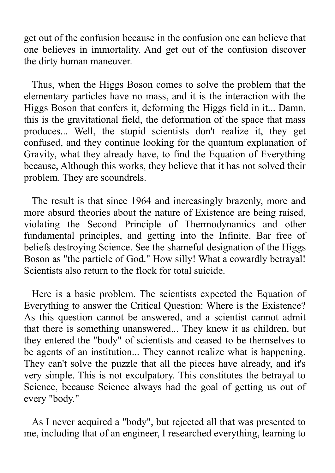get out of the confusion because in the confusion one can believe that one believes in immortality. And get out of the confusion discover the dirty human maneuver.

Thus, when the Higgs Boson comes to solve the problem that the elementary particles have no mass, and it is the interaction with the Higgs Boson that confers it, deforming the Higgs field in it... Damn, this is the gravitational field, the deformation of the space that mass produces... Well, the stupid scientists don't realize it, they get confused, and they continue looking for the quantum explanation of Gravity, what they already have, to find the Equation of Everything because, Although this works, they believe that it has not solved their problem. They are scoundrels.

The result is that since 1964 and increasingly brazenly, more and more absurd theories about the nature of Existence are being raised, violating the Second Principle of Thermodynamics and other fundamental principles, and getting into the Infinite. Bar free of beliefs destroying Science. See the shameful designation of the Higgs Boson as "the particle of God." How silly! What a cowardly betrayal! Scientists also return to the flock for total suicide.

Here is a basic problem. The scientists expected the Equation of Everything to answer the Critical Question: Where is the Existence? As this question cannot be answered, and a scientist cannot admit that there is something unanswered... They knew it as children, but they entered the "body" of scientists and ceased to be themselves to be agents of an institution... They cannot realize what is happening. They can't solve the puzzle that all the pieces have already, and it's very simple. This is not exculpatory. This constitutes the betrayal to Science, because Science always had the goal of getting us out of every "body."

As I never acquired a "body", but rejected all that was presented to me, including that of an engineer, I researched everything, learning to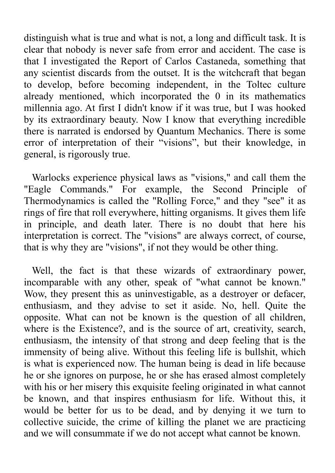distinguish what is true and what is not, a long and difficult task. It is clear that nobody is never safe from error and accident. The case is that I investigated the Report of Carlos Castaneda, something that any scientist discards from the outset. It is the witchcraft that began to develop, before becoming independent, in the Toltec culture already mentioned, which incorporated the 0 in its mathematics millennia ago. At first I didn't know if it was true, but I was hooked by its extraordinary beauty. Now I know that everything incredible there is narrated is endorsed by Quantum Mechanics. There is some error of interpretation of their "visions", but their knowledge, in general, is rigorously true.

Warlocks experience physical laws as "visions," and call them the "Eagle Commands." For example, the Second Principle of Thermodynamics is called the "Rolling Force," and they "see" it as rings of fire that roll everywhere, hitting organisms. It gives them life in principle, and death later. There is no doubt that here his interpretation is correct. The "visions" are always correct, of course, that is why they are "visions", if not they would be other thing.

Well, the fact is that these wizards of extraordinary power, incomparable with any other, speak of "what cannot be known." Wow, they present this as uninvestigable, as a destroyer or defacer, enthusiasm, and they advise to set it aside. No, hell. Quite the opposite. What can not be known is the question of all children, where is the Existence?, and is the source of art, creativity, search, enthusiasm, the intensity of that strong and deep feeling that is the immensity of being alive. Without this feeling life is bullshit, which is what is experienced now. The human being is dead in life because he or she ignores on purpose, he or she has erased almost completely with his or her misery this exquisite feeling originated in what cannot be known, and that inspires enthusiasm for life. Without this, it would be better for us to be dead, and by denying it we turn to collective suicide, the crime of killing the planet we are practicing and we will consummate if we do not accept what cannot be known.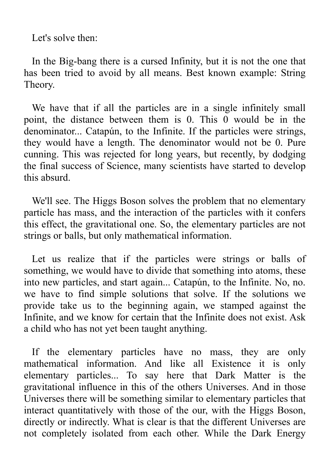Let's solve then:

In the Big-bang there is a cursed Infinity, but it is not the one that has been tried to avoid by all means. Best known example: String Theory.

We have that if all the particles are in a single infinitely small point, the distance between them is 0. This 0 would be in the denominator... Catapún, to the Infinite. If the particles were strings, they would have a length. The denominator would not be 0. Pure cunning. This was rejected for long years, but recently, by dodging the final success of Science, many scientists have started to develop this absurd.

We'll see. The Higgs Boson solves the problem that no elementary particle has mass, and the interaction of the particles with it confers this effect, the gravitational one. So, the elementary particles are not strings or balls, but only mathematical information.

Let us realize that if the particles were strings or balls of something, we would have to divide that something into atoms, these into new particles, and start again... Catapún, to the Infinite. No, no. we have to find simple solutions that solve. If the solutions we provide take us to the beginning again, we stamped against the Infinite, and we know for certain that the Infinite does not exist. Ask a child who has not yet been taught anything.

If the elementary particles have no mass, they are only mathematical information. And like all Existence it is only elementary particles... To say here that Dark Matter is the gravitational influence in this of the others Universes. And in those Universes there will be something similar to elementary particles that interact quantitatively with those of the our, with the Higgs Boson, directly or indirectly. What is clear is that the different Universes are not completely isolated from each other. While the Dark Energy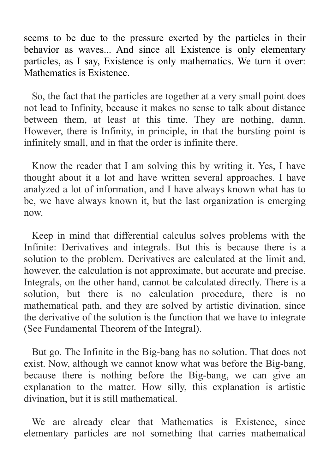seems to be due to the pressure exerted by the particles in their behavior as waves... And since all Existence is only elementary particles, as I say, Existence is only mathematics. We turn it over: Mathematics is Existence.

So, the fact that the particles are together at a very small point does not lead to Infinity, because it makes no sense to talk about distance between them, at least at this time. They are nothing, damn. However, there is Infinity, in principle, in that the bursting point is infinitely small, and in that the order is infinite there.

Know the reader that I am solving this by writing it. Yes, I have thought about it a lot and have written several approaches. I have analyzed a lot of information, and I have always known what has to be, we have always known it, but the last organization is emerging now.

Keep in mind that differential calculus solves problems with the Infinite: Derivatives and integrals. But this is because there is a solution to the problem. Derivatives are calculated at the limit and, however, the calculation is not approximate, but accurate and precise. Integrals, on the other hand, cannot be calculated directly. There is a solution, but there is no calculation procedure, there is no mathematical path, and they are solved by artistic divination, since the derivative of the solution is the function that we have to integrate (See Fundamental Theorem of the Integral).

But go. The Infinite in the Big-bang has no solution. That does not exist. Now, although we cannot know what was before the Big-bang, because there is nothing before the Big-bang, we can give an explanation to the matter. How silly, this explanation is artistic divination, but it is still mathematical.

We are already clear that Mathematics is Existence, since elementary particles are not something that carries mathematical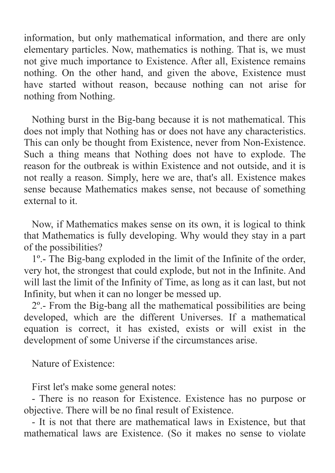information, but only mathematical information, and there are only elementary particles. Now, mathematics is nothing. That is, we must not give much importance to Existence. After all, Existence remains nothing. On the other hand, and given the above, Existence must have started without reason, because nothing can not arise for nothing from Nothing.

Nothing burst in the Big-bang because it is not mathematical. This does not imply that Nothing has or does not have any characteristics. This can only be thought from Existence, never from Non-Existence. Such a thing means that Nothing does not have to explode. The reason for the outbreak is within Existence and not outside, and it is not really a reason. Simply, here we are, that's all. Existence makes sense because Mathematics makes sense, not because of something external to it.

Now, if Mathematics makes sense on its own, it is logical to think that Mathematics is fully developing. Why would they stay in a part of the possibilities?

1º.- The Big-bang exploded in the limit of the Infinite of the order, very hot, the strongest that could explode, but not in the Infinite. And will last the limit of the Infinity of Time, as long as it can last, but not Infinity, but when it can no longer be messed up.

2º.- From the Big-bang all the mathematical possibilities are being developed, which are the different Universes. If a mathematical equation is correct, it has existed, exists or will exist in the development of some Universe if the circumstances arise.

Nature of Existence:

First let's make some general notes:

- There is no reason for Existence. Existence has no purpose or objective. There will be no final result of Existence.

- It is not that there are mathematical laws in Existence, but that mathematical laws are Existence. (So it makes no sense to violate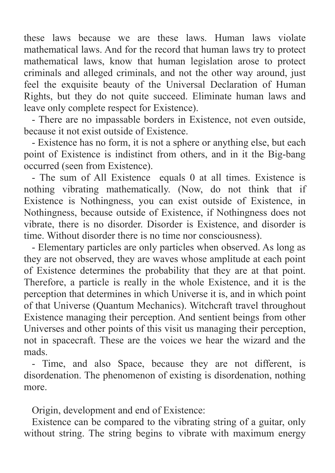these laws because we are these laws. Human laws violate mathematical laws. And for the record that human laws try to protect mathematical laws, know that human legislation arose to protect criminals and alleged criminals, and not the other way around, just feel the exquisite beauty of the Universal Declaration of Human Rights, but they do not quite succeed. Eliminate human laws and leave only complete respect for Existence).

- There are no impassable borders in Existence, not even outside, because it not exist outside of Existence.

- Existence has no form, it is not a sphere or anything else, but each point of Existence is indistinct from others, and in it the Big-bang occurred (seen from Existence).

- The sum of All Existence equals 0 at all times. Existence is nothing vibrating mathematically. (Now, do not think that if Existence is Nothingness, you can exist outside of Existence, in Nothingness, because outside of Existence, if Nothingness does not vibrate, there is no disorder. Disorder is Existence, and disorder is time. Without disorder there is no time nor consciousness).

- Elementary particles are only particles when observed. As long as they are not observed, they are waves whose amplitude at each point of Existence determines the probability that they are at that point. Therefore, a particle is really in the whole Existence, and it is the perception that determines in which Universe it is, and in which point of that Universe (Quantum Mechanics). Witchcraft travel throughout Existence managing their perception. And sentient beings from other Universes and other points of this visit us managing their perception, not in spacecraft. These are the voices we hear the wizard and the mads.

- Time, and also Space, because they are not different, is disordenation. The phenomenon of existing is disordenation, nothing more.

Origin, development and end of Existence:

Existence can be compared to the vibrating string of a guitar, only without string. The string begins to vibrate with maximum energy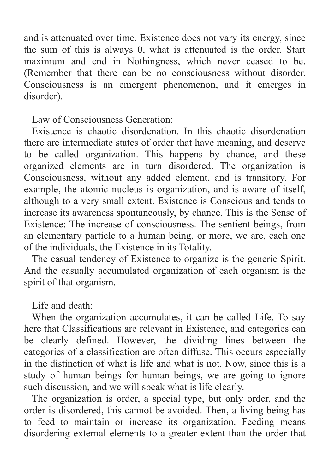and is attenuated over time. Existence does not vary its energy, since the sum of this is always 0, what is attenuated is the order. Start maximum and end in Nothingness, which never ceased to be. (Remember that there can be no consciousness without disorder. Consciousness is an emergent phenomenon, and it emerges in disorder).

Law of Consciousness Generation:

Existence is chaotic disordenation. In this chaotic disordenation there are intermediate states of order that have meaning, and deserve to be called organization. This happens by chance, and these organized elements are in turn disordered. The organization is Consciousness, without any added element, and is transitory. For example, the atomic nucleus is organization, and is aware of itself, although to a very small extent. Existence is Conscious and tends to increase its awareness spontaneously, by chance. This is the Sense of Existence: The increase of consciousness. The sentient beings, from an elementary particle to a human being, or more, we are, each one of the individuals, the Existence in its Totality.

The casual tendency of Existence to organize is the generic Spirit. And the casually accumulated organization of each organism is the spirit of that organism.

Life and death:

When the organization accumulates, it can be called Life. To say here that Classifications are relevant in Existence, and categories can be clearly defined. However, the dividing lines between the categories of a classification are often diffuse. This occurs especially in the distinction of what is life and what is not. Now, since this is a study of human beings for human beings, we are going to ignore such discussion, and we will speak what is life clearly.

The organization is order, a special type, but only order, and the order is disordered, this cannot be avoided. Then, a living being has to feed to maintain or increase its organization. Feeding means disordering external elements to a greater extent than the order that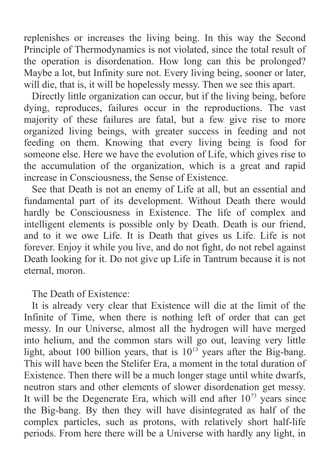replenishes or increases the living being. In this way the Second Principle of Thermodynamics is not violated, since the total result of the operation is disordenation. How long can this be prolonged? Maybe a lot, but Infinity sure not. Every living being, sooner or later, will die, that is, it will be hopelessly messy. Then we see this apart.

Directly little organization can occur, but if the living being, before dying, reproduces, failures occur in the reproductions. The vast majority of these failures are fatal, but a few give rise to more organized living beings, with greater success in feeding and not feeding on them. Knowing that every living being is food for someone else. Here we have the evolution of Life, which gives rise to the accumulation of the organization, which is a great and rapid increase in Consciousness, the Sense of Existence.

See that Death is not an enemy of Life at all, but an essential and fundamental part of its development. Without Death there would hardly be Consciousness in Existence. The life of complex and intelligent elements is possible only by Death. Death is our friend, and to it we owe Life. It is Death that gives us Life. Life is not forever. Enjoy it while you live, and do not fight, do not rebel against Death looking for it. Do not give up Life in Tantrum because it is not eternal, moron.

The Death of Existence:

It is already very clear that Existence will die at the limit of the Infinite of Time, when there is nothing left of order that can get messy. In our Universe, almost all the hydrogen will have merged into helium, and the common stars will go out, leaving very little light, about 100 billion years, that is  $10^{13}$  years after the Big-bang. This will have been the Stelifer Era, a moment in the total duration of Existence. Then there will be a much longer stage until white dwarfs, neutron stars and other elements of slower disordenation get messy. It will be the Degenerate Era, which will end after  $10^{73}$  years since the Big-bang. By then they will have disintegrated as half of the complex particles, such as protons, with relatively short half-life periods. From here there will be a Universe with hardly any light, in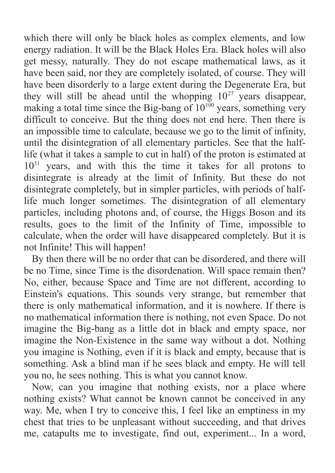which there will only be black holes as complex elements, and low energy radiation. It will be the Black Holes Era. Black holes will also get messy, naturally. They do not escape mathematical laws, as it have been said, nor they are completely isolated, of course. They will have been disorderly to a large extent during the Degenerate Era, but they will still be ahead until the whopping  $10^{27}$  years disappear, making a total time since the Big-bang of  $10^{100}$  years, something very difficult to conceive. But the thing does not end here. Then there is an impossible time to calculate, because we go to the limit of infinity, until the disintegration of all elementary particles. See that the halflife (what it takes a sample to cut in half) of the proton is estimated at  $10^{31}$  years, and with this the time it takes for all protons to disintegrate is already at the limit of Infinity. But these do not disintegrate completely, but in simpler particles, with periods of halflife much longer sometimes. The disintegration of all elementary particles, including photons and, of course, the Higgs Boson and its results, goes to the limit of the Infinity of Time, impossible to calculate, when the order will have disappeared completely. But it is not Infinite! This will happen!

By then there will be no order that can be disordered, and there will be no Time, since Time is the disordenation. Will space remain then? No, either, because Space and Time are not different, according to Einstein's equations. This sounds very strange, but remember that there is only mathematical information, and it is nowhere. If there is no mathematical information there is nothing, not even Space. Do not imagine the Big-bang as a little dot in black and empty space, nor imagine the Non-Existence in the same way without a dot. Nothing you imagine is Nothing, even if it is black and empty, because that is something. Ask a blind man if he sees black and empty. He will tell you no, he sees nothing. This is what you cannot know.

Now, can you imagine that nothing exists, nor a place where nothing exists? What cannot be known cannot be conceived in any way. Me, when I try to conceive this, I feel like an emptiness in my chest that tries to be unpleasant without succeeding, and that drives me, catapults me to investigate, find out, experiment... In a word,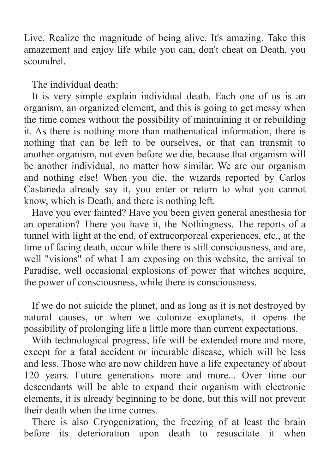Live. Realize the magnitude of being alive. It's amazing. Take this amazement and enjoy life while you can, don't cheat on Death, you scoundrel.

The individual death:

It is very simple explain individual death. Each one of us is an organism, an organized element, and this is going to get messy when the time comes without the possibility of maintaining it or rebuilding it. As there is nothing more than mathematical information, there is nothing that can be left to be ourselves, or that can transmit to another organism, not even before we die, because that organism will be another individual, no matter how similar. We are our organism and nothing else! When you die, the wizards reported by Carlos Castaneda already say it, you enter or return to what you cannot know, which is Death, and there is nothing left.

Have you ever fainted? Have you been given general anesthesia for an operation? There you have it, the Nothingness. The reports of a tunnel with light at the end, of extracorporeal experiences, etc., at the time of facing death, occur while there is still consciousness, and are, well "visions" of what I am exposing on this website, the arrival to Paradise, well occasional explosions of power that witches acquire, the power of consciousness, while there is consciousness.

If we do not suicide the planet, and as long as it is not destroyed by natural causes, or when we colonize exoplanets, it opens the possibility of prolonging life a little more than current expectations.

With technological progress, life will be extended more and more, except for a fatal accident or incurable disease, which will be less and less. Those who are now children have a life expectancy of about 120 years. Future generations more and more... Over time our descendants will be able to expand their organism with electronic elements, it is already beginning to be done, but this will not prevent their death when the time comes.

There is also Cryogenization, the freezing of at least the brain before its deterioration upon death to resuscitate it when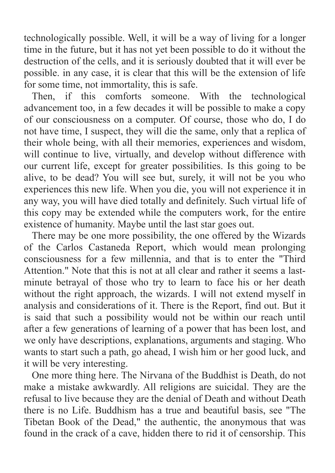technologically possible. Well, it will be a way of living for a longer time in the future, but it has not yet been possible to do it without the destruction of the cells, and it is seriously doubted that it will ever be possible. in any case, it is clear that this will be the extension of life for some time, not immortality, this is safe.

Then, if this comforts someone. With the technological advancement too, in a few decades it will be possible to make a copy of our consciousness on a computer. Of course, those who do, I do not have time, I suspect, they will die the same, only that a replica of their whole being, with all their memories, experiences and wisdom, will continue to live, virtually, and develop without difference with our current life, except for greater possibilities. Is this going to be alive, to be dead? You will see but, surely, it will not be you who experiences this new life. When you die, you will not experience it in any way, you will have died totally and definitely. Such virtual life of this copy may be extended while the computers work, for the entire existence of humanity. Maybe until the last star goes out.

There may be one more possibility, the one offered by the Wizards of the Carlos Castaneda Report, which would mean prolonging consciousness for a few millennia, and that is to enter the "Third Attention." Note that this is not at all clear and rather it seems a lastminute betrayal of those who try to learn to face his or her death without the right approach, the wizards. I will not extend myself in analysis and considerations of it. There is the Report, find out. But it is said that such a possibility would not be within our reach until after a few generations of learning of a power that has been lost, and we only have descriptions, explanations, arguments and staging. Who wants to start such a path, go ahead, I wish him or her good luck, and it will be very interesting.

One more thing here. The Nirvana of the Buddhist is Death, do not make a mistake awkwardly. All religions are suicidal. They are the refusal to live because they are the denial of Death and without Death there is no Life. Buddhism has a true and beautiful basis, see "The Tibetan Book of the Dead," the authentic, the anonymous that was found in the crack of a cave, hidden there to rid it of censorship. This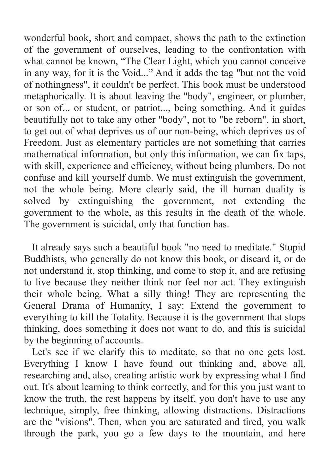wonderful book, short and compact, shows the path to the extinction of the government of ourselves, leading to the confrontation with what cannot be known, "The Clear Light, which you cannot conceive in any way, for it is the Void..." And it adds the tag "but not the void of nothingness", it couldn't be perfect. This book must be understood metaphorically. It is about leaving the "body", engineer, or plumber, or son of... or student, or patriot..., being something. And it guides beautifully not to take any other "body", not to "be reborn", in short, to get out of what deprives us of our non-being, which deprives us of Freedom. Just as elementary particles are not something that carries mathematical information, but only this information, we can fix taps, with skill, experience and efficiency, without being plumbers. Do not confuse and kill yourself dumb. We must extinguish the government, not the whole being. More clearly said, the ill human duality is solved by extinguishing the government, not extending the government to the whole, as this results in the death of the whole. The government is suicidal, only that function has.

It already says such a beautiful book "no need to meditate." Stupid Buddhists, who generally do not know this book, or discard it, or do not understand it, stop thinking, and come to stop it, and are refusing to live because they neither think nor feel nor act. They extinguish their whole being. What a silly thing! They are representing the General Drama of Humanity, I say: Extend the government to everything to kill the Totality. Because it is the government that stops thinking, does something it does not want to do, and this is suicidal by the beginning of accounts.

Let's see if we clarify this to meditate, so that no one gets lost. Everything I know I have found out thinking and, above all, researching and, also, creating artistic work by expressing what I find out. It's about learning to think correctly, and for this you just want to know the truth, the rest happens by itself, you don't have to use any technique, simply, free thinking, allowing distractions. Distractions are the "visions". Then, when you are saturated and tired, you walk through the park, you go a few days to the mountain, and here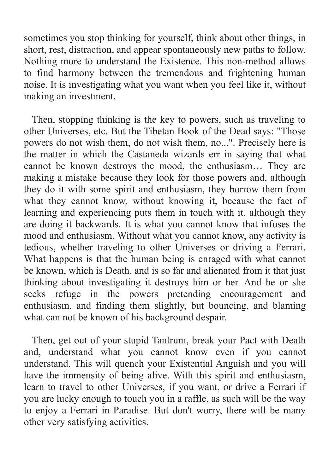sometimes you stop thinking for yourself, think about other things, in short, rest, distraction, and appear spontaneously new paths to follow. Nothing more to understand the Existence. This non-method allows to find harmony between the tremendous and frightening human noise. It is investigating what you want when you feel like it, without making an investment.

Then, stopping thinking is the key to powers, such as traveling to other Universes, etc. But the Tibetan Book of the Dead says: "Those powers do not wish them, do not wish them, no...". Precisely here is the matter in which the Castaneda wizards err in saying that what cannot be known destroys the mood, the enthusiasm… They are making a mistake because they look for those powers and, although they do it with some spirit and enthusiasm, they borrow them from what they cannot know, without knowing it, because the fact of learning and experiencing puts them in touch with it, although they are doing it backwards. It is what you cannot know that infuses the mood and enthusiasm. Without what you cannot know, any activity is tedious, whether traveling to other Universes or driving a Ferrari. What happens is that the human being is enraged with what cannot be known, which is Death, and is so far and alienated from it that just thinking about investigating it destroys him or her. And he or she seeks refuge in the powers pretending encouragement and enthusiasm, and finding them slightly, but bouncing, and blaming what can not be known of his background despair.

Then, get out of your stupid Tantrum, break your Pact with Death and, understand what you cannot know even if you cannot understand. This will quench your Existential Anguish and you will have the immensity of being alive. With this spirit and enthusiasm, learn to travel to other Universes, if you want, or drive a Ferrari if you are lucky enough to touch you in a raffle, as such will be the way to enjoy a Ferrari in Paradise. But don't worry, there will be many other very satisfying activities.